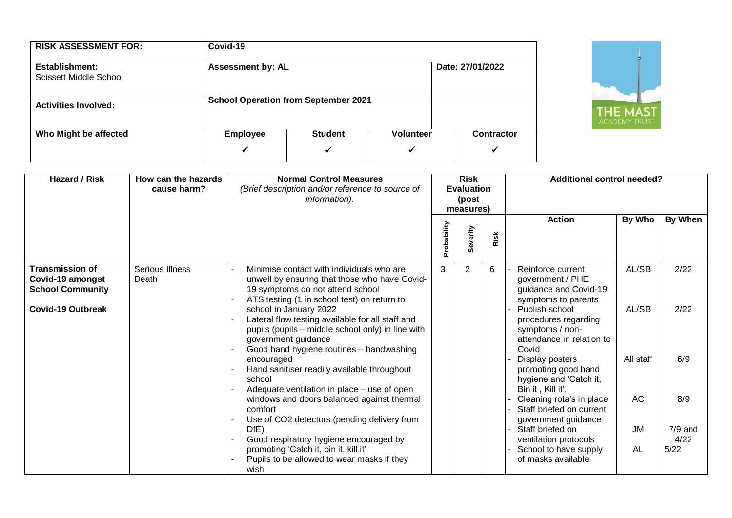| <b>RISK ASSESSMENT FOR:</b>              | Covid-19             |                                              |                       |                        |  |  |  |  |  |
|------------------------------------------|----------------------|----------------------------------------------|-----------------------|------------------------|--|--|--|--|--|
| Establishment:<br>Scissett Middle School |                      | Date: 27/01/2022<br><b>Assessment by: AL</b> |                       |                        |  |  |  |  |  |
| <b>Activities Involved:</b>              |                      | <b>School Operation from September 2021</b>  |                       |                        |  |  |  |  |  |
| Who Might be affected                    | <b>Employee</b><br>✓ | <b>Student</b><br>✓                          | <b>Volunteer</b><br>✔ | <b>Contractor</b><br>✔ |  |  |  |  |  |



| <b>Hazard / Risk</b>                                                                              | How can the hazards<br>cause harm? | <b>Normal Control Measures</b><br>(Brief description and/or reference to source of<br>information).                                                                                                                                                                                                                                     | <b>Risk</b><br><b>Evaluation</b><br>(post<br>measures) |          |      | <b>Additional control needed?</b>                                                                                                                                               |                        |                  |
|---------------------------------------------------------------------------------------------------|------------------------------------|-----------------------------------------------------------------------------------------------------------------------------------------------------------------------------------------------------------------------------------------------------------------------------------------------------------------------------------------|--------------------------------------------------------|----------|------|---------------------------------------------------------------------------------------------------------------------------------------------------------------------------------|------------------------|------------------|
|                                                                                                   |                                    |                                                                                                                                                                                                                                                                                                                                         | Probability                                            | Severity | Risk | <b>Action</b>                                                                                                                                                                   | By Who                 | By When          |
| <b>Transmission of</b><br>Covid-19 amongst<br><b>School Community</b><br><b>Covid-19 Outbreak</b> | Serious Illness<br>Death           | Minimise contact with individuals who are<br>unwell by ensuring that those who have Covid-<br>19 symptoms do not attend school<br>ATS testing (1 in school test) on return to<br>school in January 2022<br>Lateral flow testing available for all staff and<br>pupils (pupils – middle school only) in line with<br>government guidance | 3                                                      | 2        | 6    | Reinforce current<br>government / PHE<br>guidance and Covid-19<br>symptoms to parents<br>Publish school<br>procedures regarding<br>symptoms / non-<br>attendance in relation to | AL/SB<br>AL/SB         | 2/22<br>2/22     |
|                                                                                                   |                                    | Good hand hygiene routines - handwashing<br>encouraged<br>Hand sanitiser readily available throughout<br>school<br>Adequate ventilation in place – use of open                                                                                                                                                                          |                                                        |          |      | Covid<br>Display posters<br>promoting good hand<br>hygiene and 'Catch it,<br>Bin it, Kill it'.                                                                                  | All staff              | 6/9              |
|                                                                                                   |                                    | windows and doors balanced against thermal<br>comfort<br>Use of CO2 detectors (pending delivery from<br>DfE)                                                                                                                                                                                                                            |                                                        |          |      | Cleaning rota's in place<br>Staff briefed on current<br>government guidance<br>Staff briefed on                                                                                 | <b>AC</b><br><b>JM</b> | 8/9<br>$7/9$ and |
|                                                                                                   |                                    | Good respiratory hygiene encouraged by<br>promoting 'Catch it, bin it, kill it'<br>Pupils to be allowed to wear masks if they<br>wish                                                                                                                                                                                                   |                                                        |          |      | ventilation protocols<br>School to have supply<br>of masks available                                                                                                            | AL                     | 4/22<br>5/22     |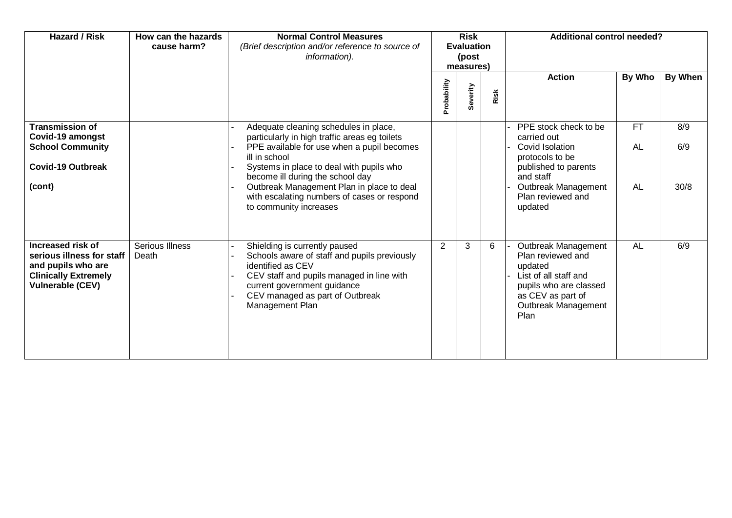| <b>Hazard / Risk</b>                                                                                                           | How can the hazards<br>cause harm? | <b>Normal Control Measures</b><br>(Brief description and/or reference to source of<br>information).                                                                                                                                                                                                                                                         | <b>Risk</b><br><b>Evaluation</b><br>(post<br>measures) |          |      | <b>Additional control needed?</b>                                                                                                                                      |                              |                    |
|--------------------------------------------------------------------------------------------------------------------------------|------------------------------------|-------------------------------------------------------------------------------------------------------------------------------------------------------------------------------------------------------------------------------------------------------------------------------------------------------------------------------------------------------------|--------------------------------------------------------|----------|------|------------------------------------------------------------------------------------------------------------------------------------------------------------------------|------------------------------|--------------------|
|                                                                                                                                |                                    |                                                                                                                                                                                                                                                                                                                                                             | Probability                                            | Severity | Risk | <b>Action</b>                                                                                                                                                          | By Who                       | By When            |
| <b>Transmission of</b><br>Covid-19 amongst<br><b>School Community</b><br><b>Covid-19 Outbreak</b><br>(cont)                    |                                    | Adequate cleaning schedules in place,<br>particularly in high traffic areas eg toilets<br>PPE available for use when a pupil becomes<br>ill in school<br>Systems in place to deal with pupils who<br>become ill during the school day<br>Outbreak Management Plan in place to deal<br>with escalating numbers of cases or respond<br>to community increases |                                                        |          |      | PPE stock check to be<br>carried out<br>Covid Isolation<br>protocols to be<br>published to parents<br>and staff<br>Outbreak Management<br>Plan reviewed and<br>updated | <b>FT</b><br><b>AL</b><br>AL | 8/9<br>6/9<br>30/8 |
| Increased risk of<br>serious illness for staff<br>and pupils who are<br><b>Clinically Extremely</b><br><b>Vulnerable (CEV)</b> | Serious Illness<br>Death           | Shielding is currently paused<br>Schools aware of staff and pupils previously<br>identified as CEV<br>CEV staff and pupils managed in line with<br>current government guidance<br>CEV managed as part of Outbreak<br>Management Plan                                                                                                                        | 2                                                      | 3        | 6    | Outbreak Management<br>Plan reviewed and<br>updated<br>List of all staff and<br>pupils who are classed<br>as CEV as part of<br>Outbreak Management<br>Plan             | <b>AL</b>                    | 6/9                |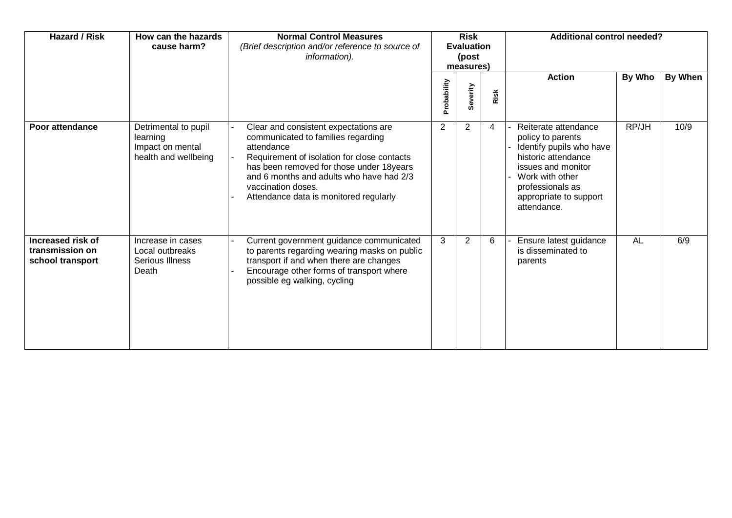| <b>Hazard / Risk</b>                                            | How can the hazards<br>cause harm?                                           | <b>Normal Control Measures</b><br>(Brief description and/or reference to source of<br>information).                                                                                                                                                                                              | <b>Risk</b><br><b>Evaluation</b><br>(post<br>measures) |              |      | <b>Additional control needed?</b>                                                                                                                                                                  |        |         |
|-----------------------------------------------------------------|------------------------------------------------------------------------------|--------------------------------------------------------------------------------------------------------------------------------------------------------------------------------------------------------------------------------------------------------------------------------------------------|--------------------------------------------------------|--------------|------|----------------------------------------------------------------------------------------------------------------------------------------------------------------------------------------------------|--------|---------|
|                                                                 |                                                                              |                                                                                                                                                                                                                                                                                                  | Probability                                            | verity<br>ശ് | Risk | <b>Action</b>                                                                                                                                                                                      | By Who | By When |
| Poor attendance                                                 | Detrimental to pupil<br>learning<br>Impact on mental<br>health and wellbeing | Clear and consistent expectations are<br>communicated to families regarding<br>attendance<br>Requirement of isolation for close contacts<br>has been removed for those under 18years<br>and 6 months and adults who have had 2/3<br>vaccination doses.<br>Attendance data is monitored regularly | $\overline{2}$                                         | 2            | 4    | Reiterate attendance<br>policy to parents<br>Identify pupils who have<br>historic attendance<br>issues and monitor<br>Work with other<br>professionals as<br>appropriate to support<br>attendance. | RP/JH  | 10/9    |
| <b>Increased risk of</b><br>transmission on<br>school transport | Increase in cases<br>Local outbreaks<br>Serious Illness<br>Death             | Current government guidance communicated<br>to parents regarding wearing masks on public<br>transport if and when there are changes<br>Encourage other forms of transport where<br>possible eg walking, cycling                                                                                  | 3                                                      | 2            | 6    | Ensure latest guidance<br>is disseminated to<br>parents                                                                                                                                            | AL     | 6/9     |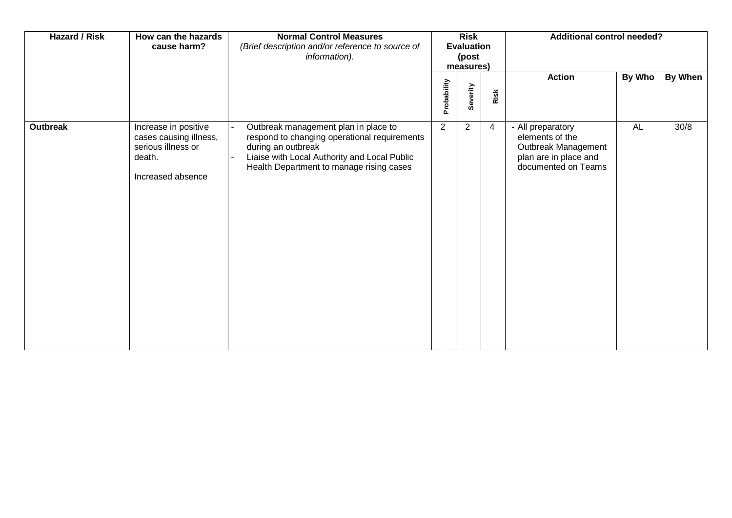| <b>Hazard / Risk</b> | How can the hazards<br>cause harm?                                                                  | <b>Normal Control Measures</b><br>(Brief description and/or reference to source of<br>information).                                                                                                    |             | <b>Risk</b><br><b>Evaluation</b><br>(post<br>measures) |      | <b>Additional control needed?</b>                                                                           |               |                |
|----------------------|-----------------------------------------------------------------------------------------------------|--------------------------------------------------------------------------------------------------------------------------------------------------------------------------------------------------------|-------------|--------------------------------------------------------|------|-------------------------------------------------------------------------------------------------------------|---------------|----------------|
|                      |                                                                                                     |                                                                                                                                                                                                        | Probability | Severity                                               | Risk | <b>Action</b>                                                                                               | <b>By Who</b> | <b>By When</b> |
| <b>Outbreak</b>      | Increase in positive<br>cases causing illness,<br>serious illness or<br>death.<br>Increased absence | Outbreak management plan in place to<br>respond to changing operational requirements<br>during an outbreak<br>Liaise with Local Authority and Local Public<br>Health Department to manage rising cases | 2           | 2                                                      | 4    | - All preparatory<br>elements of the<br>Outbreak Management<br>plan are in place and<br>documented on Teams | <b>AL</b>     | 30/8           |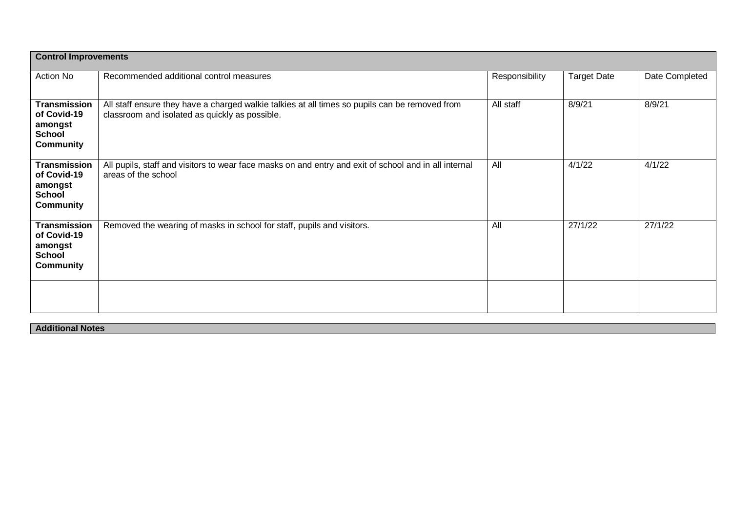|                                                                                    | <b>Control Improvements</b>                                                                                                                      |                |                    |                |  |  |  |  |  |
|------------------------------------------------------------------------------------|--------------------------------------------------------------------------------------------------------------------------------------------------|----------------|--------------------|----------------|--|--|--|--|--|
| Action No                                                                          | Recommended additional control measures                                                                                                          | Responsibility | <b>Target Date</b> | Date Completed |  |  |  |  |  |
| <b>Transmission</b><br>of Covid-19<br>amongst<br><b>School</b><br><b>Community</b> | All staff ensure they have a charged walkie talkies at all times so pupils can be removed from<br>classroom and isolated as quickly as possible. | All staff      | 8/9/21             | 8/9/21         |  |  |  |  |  |
| <b>Transmission</b><br>of Covid-19<br>amongst<br><b>School</b><br><b>Community</b> | All pupils, staff and visitors to wear face masks on and entry and exit of school and in all internal<br>areas of the school                     | All            | 4/1/22             | 4/1/22         |  |  |  |  |  |
| <b>Transmission</b><br>of Covid-19<br>amongst<br><b>School</b><br><b>Community</b> | Removed the wearing of masks in school for staff, pupils and visitors.                                                                           | All            | 27/1/22            | 27/1/22        |  |  |  |  |  |
|                                                                                    |                                                                                                                                                  |                |                    |                |  |  |  |  |  |

**Additional Notes**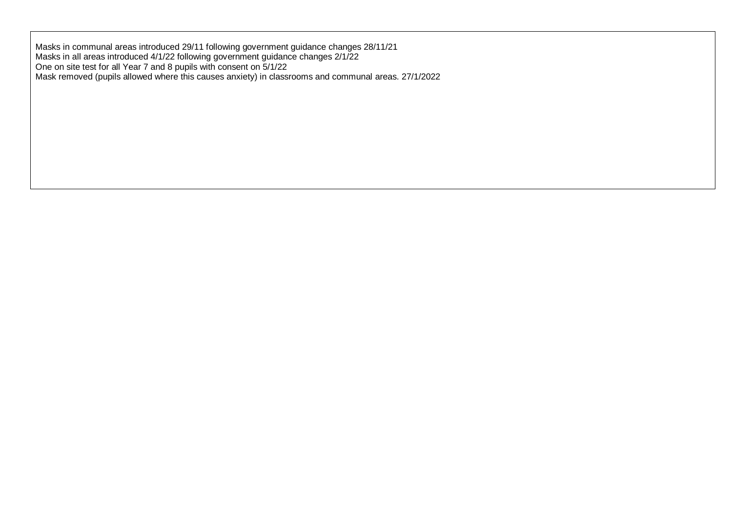Masks in communal areas introduced 29/11 following government guidance changes 28/11/21 Masks in all areas introduced 4/1/22 following government guidance changes 2/1/22 One on site test for all Year 7 and 8 pupils with consent on 5/1/22 Mask removed (pupils allowed where this causes anxiety) in classrooms and communal areas. 27/1/2022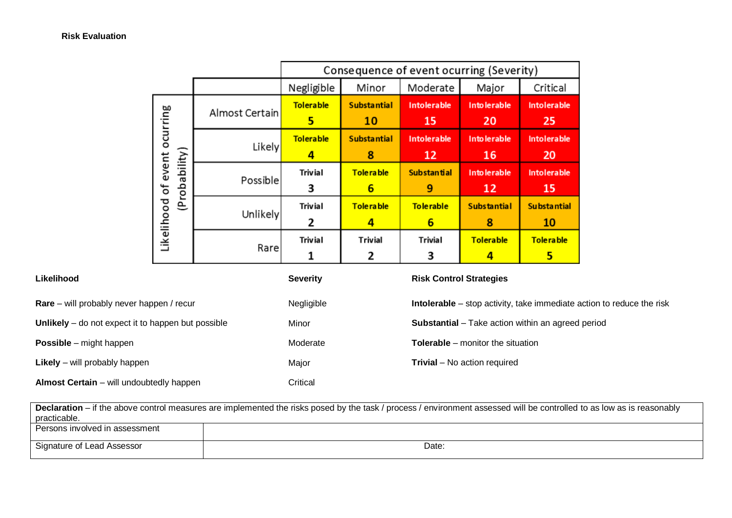|                                                  |                |                       | Consequence of event ocurring (Severity) |                         |                           |                          |  |  |  |  |  |
|--------------------------------------------------|----------------|-----------------------|------------------------------------------|-------------------------|---------------------------|--------------------------|--|--|--|--|--|
|                                                  |                | Negligible            | Minor                                    | Moderate                | Major                     | Critical                 |  |  |  |  |  |
| ocurring<br>(Probability)<br>Likelihood of event | Almost Certain | <b>Tolerable</b><br>5 | <b>Substantial</b><br>10                 | Intolerable<br>15       | Into lerable<br>20        | <b>Intolerable</b><br>25 |  |  |  |  |  |
|                                                  | <b>Likely</b>  | <b>Tolerable</b><br>4 | <b>Substantial</b><br>8                  | Intolerable<br>12       | <b>Into lerable</b><br>16 | Intolerable<br>20        |  |  |  |  |  |
|                                                  | Possible       | Trivial<br>3          | <b>Tolerable</b><br>6                    | <b>Substantial</b><br>9 | <b>Into lerable</b><br>12 | Intolerable<br>15        |  |  |  |  |  |
|                                                  | Unlikely       | <b>Trivial</b><br>2   | <b>Tolerable</b><br>4                    | <b>Tolerable</b><br>6   | <b>Substantial</b><br>8   | Substantial<br>10        |  |  |  |  |  |
|                                                  | Rare           | <b>Trivial</b><br>1   | <b>Trivial</b><br>2                      | <b>Trivial</b><br>З     | <b>Tolerable</b><br>4     | Tolera ble<br>5          |  |  |  |  |  |

| Likelihood                                           | <b>Severity</b> | <b>Risk Control Strategies</b>                                               |
|------------------------------------------------------|-----------------|------------------------------------------------------------------------------|
| Rare – will probably never happen / recur            | Negligible      | <b>Intolerable</b> – stop activity, take immediate action to reduce the risk |
| Unlikely $-$ do not expect it to happen but possible | Minor           | <b>Substantial</b> – Take action within an agreed period                     |
| <b>Possible</b> – might happen                       | Moderate        | <b>Tolerable</b> – monitor the situation                                     |
| <b>Likely</b> – will probably happen                 | Major           | <b>Trivial</b> – No action required                                          |
| <b>Almost Certain</b> – will undoubtedly happen      | Critical        |                                                                              |

| <b>Declaration</b> – if the above control measures are implemented the risks posed by the task / process / environment assessed will be controlled to as low as is reasonably |       |  |  |  |  |  |  |  |
|-------------------------------------------------------------------------------------------------------------------------------------------------------------------------------|-------|--|--|--|--|--|--|--|
| practicable.                                                                                                                                                                  |       |  |  |  |  |  |  |  |
| Persons involved in assessment                                                                                                                                                |       |  |  |  |  |  |  |  |
| Signature of Lead Assessor                                                                                                                                                    | Date: |  |  |  |  |  |  |  |